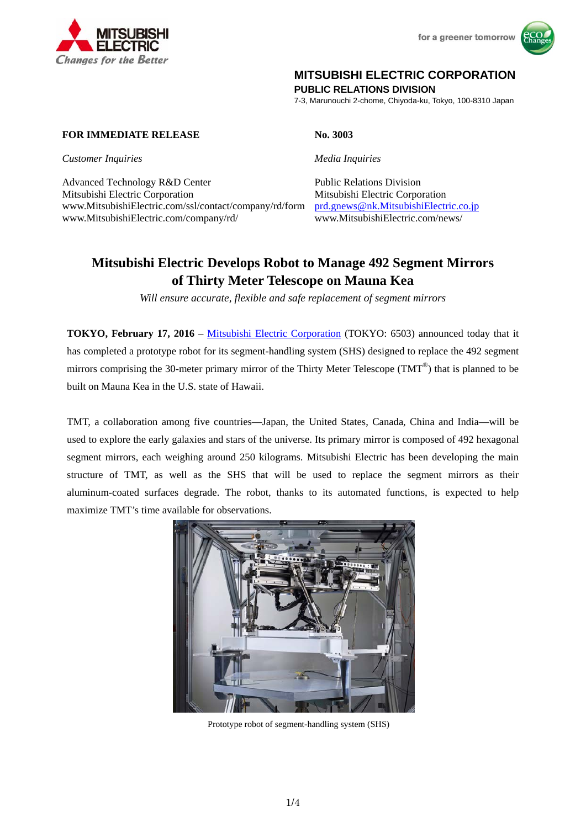

for a greener tomorrow



# **MITSUBISHI ELECTRIC CORPORATION**

**PUBLIC RELATIONS DIVISION** 

7-3, Marunouchi 2-chome, Chiyoda-ku, Tokyo, 100-8310 Japan

# **FOR IMMEDIATE RELEASE** No. 3003

**Customer Inquiries** Media Inquiries

Advanced Technology R&D Center Public Relations Division Mitsubishi Electric Corporation Mitsubishi Electric Corporation www.MitsubishiElectric.com/ssl/contact/company/rd/form prd.gnews@nk.MitsubishiElectric.co.jp www.MitsubishiElectric.com/company/rd/ www.MitsubishiElectric.com/news/

# **Mitsubishi Electric Develops Robot to Manage 492 Segment Mirrors of Thirty Meter Telescope on Mauna Kea**

*Will ensure accurate, flexible and safe replacement of segment mirrors* 

**TOKYO, February 17, 2016** – Mitsubishi Electric Corporation (TOKYO: 6503) announced today that it has completed a prototype robot for its segment-handling system (SHS) designed to replace the 492 segment mirrors comprising the 30-meter primary mirror of the Thirty Meter Telescope (TMT<sup>®</sup>) that is planned to be built on Mauna Kea in the U.S. state of Hawaii.

TMT, a collaboration among five countries—Japan, the United States, Canada, China and India—will be used to explore the early galaxies and stars of the universe. Its primary mirror is composed of 492 hexagonal segment mirrors, each weighing around 250 kilograms. Mitsubishi Electric has been developing the main structure of TMT, as well as the SHS that will be used to replace the segment mirrors as their aluminum-coated surfaces degrade. The robot, thanks to its automated functions, is expected to help maximize TMT's time available for observations.



Prototype robot of segment-handling system (SHS)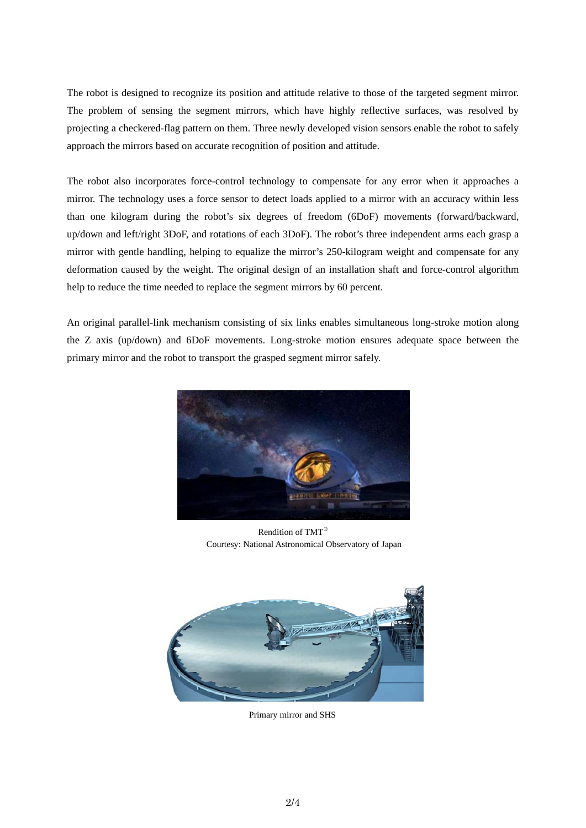The robot is designed to recognize its position and attitude relative to those of the targeted segment mirror. The problem of sensing the segment mirrors, which have highly reflective surfaces, was resolved by projecting a checkered-flag pattern on them. Three newly developed vision sensors enable the robot to safely approach the mirrors based on accurate recognition of position and attitude.

The robot also incorporates force-control technology to compensate for any error when it approaches a mirror. The technology uses a force sensor to detect loads applied to a mirror with an accuracy within less than one kilogram during the robot's six degrees of freedom (6DoF) movements (forward/backward, up/down and left/right 3DoF, and rotations of each 3DoF). The robot's three independent arms each grasp a mirror with gentle handling, helping to equalize the mirror's 250-kilogram weight and compensate for any deformation caused by the weight. The original design of an installation shaft and force-control algorithm help to reduce the time needed to replace the segment mirrors by 60 percent.

An original parallel-link mechanism consisting of six links enables simultaneous long-stroke motion along the Z axis (up/down) and 6DoF movements. Long-stroke motion ensures adequate space between the primary mirror and the robot to transport the grasped segment mirror safely.



Rendition of TMT® Courtesy: National Astronomical Observatory of Japan



Primary mirror and SHS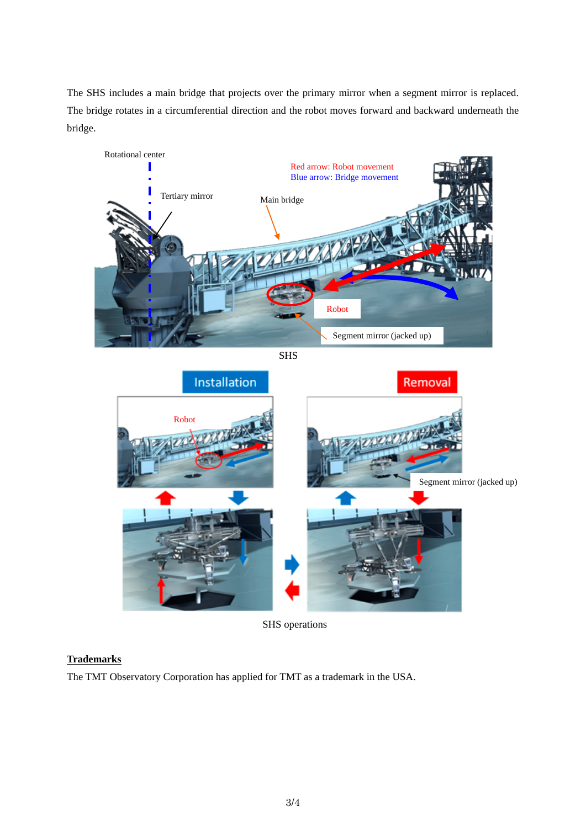The SHS includes a main bridge that projects over the primary mirror when a segment mirror is replaced. The bridge rotates in a circumferential direction and the robot moves forward and backward underneath the bridge.



SHS



SHS operations

# **Trademarks**

The TMT Observatory Corporation has applied for TMT as a trademark in the USA.